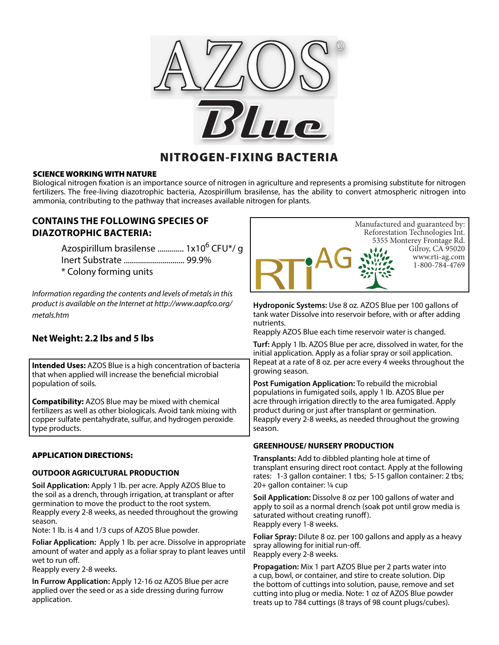

# NITROGEN-FIXING BACTERIA

### SCIENCE WORKING WITH NATURE

Biological nitrogen fixation is an importance source of nitrogen in agriculture and represents a promising substitute for nitrogen fertilizers. The free-living diazotrophic bacteria, Azospirillum brasilense, has the ability to convert atmospheric nitrogen into ammonia, contributing to the pathway that increases available nitrogen for plants.

## **CONTAINS THE FOLLOWING SPECIES OF DIAZOTROPHIC BACTERIA:**

Azospirillum brasilense ............. 1x10<sup>6</sup> CFU\*/ g Inert Substrate .............................. 99.9% \* Colony forming units

*Information regarding the contents and levels of metals in this product is available on the Internet at http://www.aapfco.org/ metals.htm*

# **Net Weight: 2.2 lbs and 5 lbs**

**Intended Uses:** AZOS Blue is a high concentration of bacteria that when applied will increase the beneficial microbial population of soils.

**Compatibility:** AZOS Blue may be mixed with chemical fertilizers as well as other biologicals. Avoid tank mixing with copper sulfate pentahydrate, sulfur, and hydrogen peroxide type products.

## APPLICATION DIRECTIONS:

### **OUTDOOR AGRICULTURAL PRODUCTION**

**Soil Application:** Apply 1 lb. per acre. Apply AZOS Blue to the soil as a drench, through irrigation, at transplant or after germination to move the product to the root system. Reapply every 2-8 weeks, as needed throughout the growing season.

Note: 1 lb. is 4 and 1/3 cups of AZOS Blue powder.

**Foliar Application:** Apply 1 lb. per acre. Dissolve in appropriate amount of water and apply as a foliar spray to plant leaves until wet to run off.

Reapply every 2-8 weeks.

**In Furrow Application:** Apply 12-16 oz AZOS Blue per acre applied over the seed or as a side dressing during furrow application.



**Hydroponic Systems:** Use 8 oz. AZOS Blue per 100 gallons of tank water Dissolve into reservoir before, with or after adding nutrients.

Reapply AZOS Blue each time reservoir water is changed.

**Turf:** Apply 1 lb. AZOS Blue per acre, dissolved in water, for the initial application. Apply as a foliar spray or soil application. Repeat at a rate of 8 oz. per acre every 4 weeks throughout the growing season.

**Post Fumigation Application:** To rebuild the microbial populations in fumigated soils, apply 1 lb. AZOS Blue per acre through irrigation directly to the area fumigated. Apply product during or just after transplant or germination. Reapply every 2-8 weeks, as needed throughout the growing season.

### **GREENHOUSE/ NURSERY PRODUCTION**

**Transplants:** Add to dibbled planting hole at time of transplant ensuring direct root contact. Apply at the following rates: 1-3 gallon container: 1 tbs; 5-15 gallon container: 2 tbs; 20+ gallon container: ¼ cup

**Soil Application:** Dissolve 8 oz per 100 gallons of water and apply to soil as a normal drench (soak pot until grow media is saturated without creating runoff). Reapply every 1-8 weeks.

**Foliar Spray:** Dilute 8 oz. per 100 gallons and apply as a heavy spray allowing for initial run-off. Reapply every 2-8 weeks.

**Propagation:** Mix 1 part AZOS Blue per 2 parts water into a cup, bowl, or container, and stire to create solution. Dip the bottom of cuttings into solution, pause, remove and set cutting into plug or media. Note: 1 oz of AZOS Blue powder treats up to 784 cuttings (8 trays of 98 count plugs/cubes).